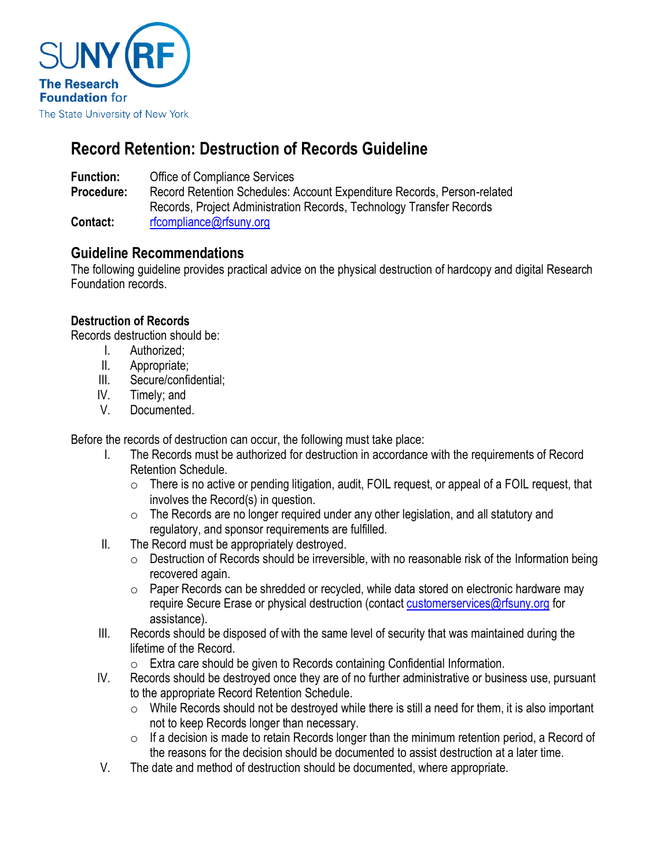

# **Record Retention: Destruction of Records Guideline**

**Function:** Office of Compliance Services

**Procedure:** Record Retention Schedules: Account Expenditure Records, Person-related Records, Project Administration Records, Technology Transfer Records Contact: [rfcompliance@rfsuny.org](mailto:rfcompliance@rfsuny.org)

## **Guideline Recommendations**

The following guideline provides practical advice on the physical destruction of hardcopy and digital Research Foundation records.

### **Destruction of Records**

Records destruction should be:

- I. Authorized;
- II. Appropriate;
- III. Secure/confidential;
- IV. Timely; and
- V. Documented.

Before the records of destruction can occur, the following must take place:

- I. The Records must be authorized for destruction in accordance with the requirements of Record Retention Schedule.
	- $\circ$  There is no active or pending litigation, audit, FOIL request, or appeal of a FOIL request, that involves the Record(s) in question.
	- $\circ$  The Records are no longer required under any other legislation, and all statutory and regulatory, and sponsor requirements are fulfilled.
- II. The Record must be appropriately destroyed.
	- $\circ$  Destruction of Records should be irreversible, with no reasonable risk of the Information being recovered again.
	- $\circ$  Paper Records can be shredded or recycled, while data stored on electronic hardware may require Secure Erase or physical destruction (contact [customerservices@rfsuny.org](mailto:customerservices@rfsuny.org) for assistance).
- III. Records should be disposed of with the same level of security that was maintained during the lifetime of the Record.
	- o Extra care should be given to Records containing Confidential Information.
- IV. Records should be destroyed once they are of no further administrative or business use, pursuant to the appropriate Record Retention Schedule.
	- o While Records should not be destroyed while there is still a need for them, it is also important not to keep Records longer than necessary.
	- $\circ$  If a decision is made to retain Records longer than the minimum retention period, a Record of the reasons for the decision should be documented to assist destruction at a later time.
- V. The date and method of destruction should be documented, where appropriate.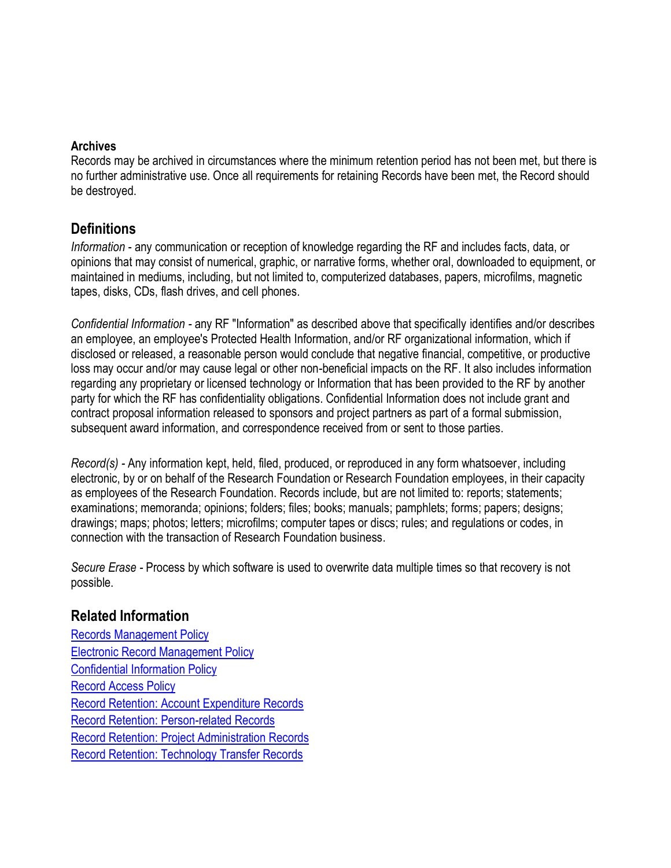#### **Archives**

Records may be archived in circumstances where the minimum retention period has not been met, but there is no further administrative use. Once all requirements for retaining Records have been met, the Record should be destroyed.

### **Definitions**

*Information* - any communication or reception of knowledge regarding the RF and includes facts, data, or opinions that may consist of numerical, graphic, or narrative forms, whether oral, downloaded to equipment, or maintained in mediums, including, but not limited to, computerized databases, papers, microfilms, magnetic tapes, disks, CDs, flash drives, and cell phones.

*Confidential Information -* any RF "Information" as described above that specifically identifies and/or describes an employee, an employee's Protected Health Information, and/or RF organizational information, which if disclosed or released, a reasonable person would conclude that negative financial, competitive, or productive loss may occur and/or may cause legal or other non-beneficial impacts on the RF. It also includes information regarding any proprietary or licensed technology or Information that has been provided to the RF by another party for which the RF has confidentiality obligations. Confidential Information does not include grant and contract proposal information released to sponsors and project partners as part of a formal submission, subsequent award information, and correspondence received from or sent to those parties.

*Record(s) -* Any information kept, held, filed, produced, or reproduced in any form whatsoever, including electronic, by or on behalf of the Research Foundation or Research Foundation employees, in their capacity as employees of the Research Foundation. Records include, but are not limited to: reports; statements; examinations; memoranda; opinions; folders; files; books; manuals; pamphlets; forms; papers; designs; drawings; maps; photos; letters; microfilms; computer tapes or discs; rules; and regulations or codes, in connection with the transaction of Research Foundation business.

*Secure Erase -* Process by which software is used to overwrite data multiple times so that recovery is not possible.

### **Related Information**

[Records Management Policy](https://www.rfsuny.org/media/rfsuny/policies/records_management_policy_pol.htm) [Electronic Record Management Policy](https://www.rfsuny.org/media/rfsuny/policies/ae_electronic-record-management_pol.htm) [Confidential Information Policy](https://www.rfsuny.org/media/rfsuny/policies/per_confidential-information_pol.htm) [Record Access Policy](http://www.rfsuny.org/media/RFSUNY/Policies/records_access_policy_pol.htm) [Record Retention: Account Expenditure Records](https://www.rfsuny.org/media/rfsuny/procedures/ap_record-retention-account_expenditure-records_guid.htm) [Record Retention: Person-related Records](http://www.rfsuny.org/media/RFSUNY/Procedures/per_record-retention-person-related-records_pro.htm) [Record Retention: Project Administration Records](http://www.rfsuny.org/media/RFSUNY/Procedures/ap_record-retention-project-administration-records_pro.htm) [Record Retention: Technology Transfer Records](https://www.rfsuny.org/media/rfsuny/procedures/record-retention-technology-transfer-records_pro.pdf)